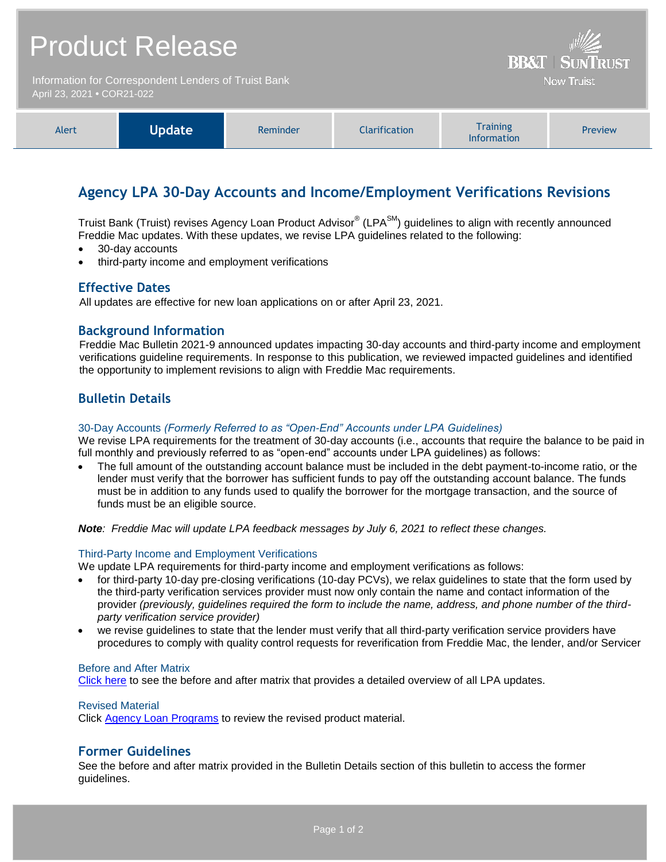| <b>Product Release</b>                                                             | Will<br><b>BB&amp;T   SUNTRUST</b> |
|------------------------------------------------------------------------------------|------------------------------------|
| Information for Correspondent Lenders of Truist Bank<br>April 23, 2021 • COR21-022 | <b>Now Truist</b>                  |
|                                                                                    |                                    |

| Alert | Update <sup>1</sup> | Reminder | <b>Clarification</b> | <b>Training</b><br><b>Information</b> | <b>Preview</b> |
|-------|---------------------|----------|----------------------|---------------------------------------|----------------|
|-------|---------------------|----------|----------------------|---------------------------------------|----------------|

# **Agency LPA 30-Day Accounts and Income/Employment Verifications Revisions**

Truist Bank (Truist) revises Agency Loan Product Advisor® (LPA<sup>SM</sup>) guidelines to align with recently announced Freddie Mac updates. With these updates, we revise LPA guidelines related to the following:

- 30-day accounts
- third-party income and employment verifications

### **Effective Dates**

All updates are effective for new loan applications on or after April 23, 2021.

## **Background Information**

Freddie Mac Bulletin 2021-9 announced updates impacting 30-day accounts and third-party income and employment verifications guideline requirements. In response to this publication, we reviewed impacted guidelines and identified the opportunity to implement revisions to align with Freddie Mac requirements.

# **Bulletin Details**

#### 30-Day Accounts *(Formerly Referred to as "Open-End" Accounts under LPA Guidelines)*

We revise LPA requirements for the treatment of 30-day accounts (i.e., accounts that require the balance to be paid in full monthly and previously referred to as "open-end" accounts under LPA guidelines) as follows:

 The full amount of the outstanding account balance must be included in the debt payment-to-income ratio, or the lender must verify that the borrower has sufficient funds to pay off the outstanding account balance. The funds must be in addition to any funds used to qualify the borrower for the mortgage transaction, and the source of funds must be an eligible source.

*Note: Freddie Mac will update LPA feedback messages by July 6, 2021 to reflect these changes.*

#### Third-Party Income and Employment Verifications

We update LPA requirements for third-party income and employment verifications as follows:

- for third-party 10-day pre-closing verifications (10-day PCVs), we relax guidelines to state that the form used by the third-party verification services provider must now only contain the name and contact information of the provider *(previously, guidelines required the form to include the name, address, and phone number of the thirdparty verification service provider)*
- we revise guidelines to state that the lender must verify that all third-party verification service providers have procedures to comply with quality control requests for reverification from Freddie Mac, the lender, and/or Servicer

#### Before and After Matrix

[Click here](http://www.truistsellerguide.com/manual/cor/products/Cr21-022BA.pdf) to see the before and after matrix that provides a detailed overview of all LPA updates.

#### Revised Material

Click [Agency Loan Programs](https://www.truistsellerguide.com/manual/cor/products/CAgency.pdf) to review the revised product material.

### **Former Guidelines**

See the before and after matrix provided in the Bulletin Details section of this bulletin to access the former guidelines.